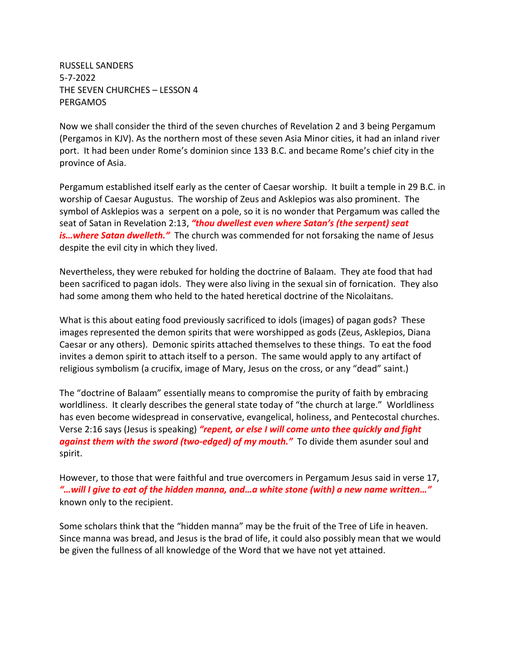RUSSELL SANDERS 5-7-2022 THE SEVEN CHURCHES – LESSON 4 PERGAMOS

Now we shall consider the third of the seven churches of Revelation 2 and 3 being Pergamum (Pergamos in KJV). As the northern most of these seven Asia Minor cities, it had an inland river port. It had been under Rome's dominion since 133 B.C. and became Rome's chief city in the province of Asia.

Pergamum established itself early as the center of Caesar worship. It built a temple in 29 B.C. in worship of Caesar Augustus. The worship of Zeus and Asklepios was also prominent. The symbol of Asklepios was a serpent on a pole, so it is no wonder that Pergamum was called the seat of Satan in Revelation 2:13, *"thou dwellest even where Satan's (the serpent) seat is…where Satan dwelleth."* The church was commended for not forsaking the name of Jesus despite the evil city in which they lived.

Nevertheless, they were rebuked for holding the doctrine of Balaam. They ate food that had been sacrificed to pagan idols. They were also living in the sexual sin of fornication. They also had some among them who held to the hated heretical doctrine of the Nicolaitans.

What is this about eating food previously sacrificed to idols (images) of pagan gods? These images represented the demon spirits that were worshipped as gods (Zeus, Asklepios, Diana Caesar or any others). Demonic spirits attached themselves to these things. To eat the food invites a demon spirit to attach itself to a person. The same would apply to any artifact of religious symbolism (a crucifix, image of Mary, Jesus on the cross, or any "dead" saint.)

The "doctrine of Balaam" essentially means to compromise the purity of faith by embracing worldliness. It clearly describes the general state today of "the church at large." Worldliness has even become widespread in conservative, evangelical, holiness, and Pentecostal churches. Verse 2:16 says (Jesus is speaking) *"repent, or else I will come unto thee quickly and fight against them with the sword (two-edged) of my mouth."* To divide them asunder soul and spirit.

However, to those that were faithful and true overcomers in Pergamum Jesus said in verse 17, *"…will I give to eat of the hidden manna, and…a white stone (with) a new name written…"* known only to the recipient.

Some scholars think that the "hidden manna" may be the fruit of the Tree of Life in heaven. Since manna was bread, and Jesus is the brad of life, it could also possibly mean that we would be given the fullness of all knowledge of the Word that we have not yet attained.